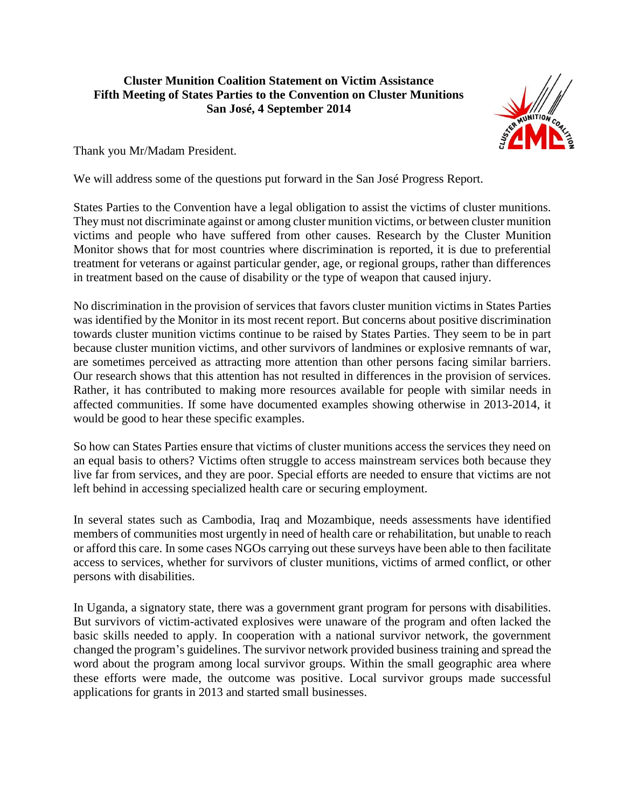## **Cluster Munition Coalition Statement on Victim Assistance Fifth Meeting of States Parties to the Convention on Cluster Munitions San José, 4 September 2014**



Thank you Mr/Madam President.

We will address some of the questions put forward in the San José Progress Report.

States Parties to the Convention have a legal obligation to assist the victims of cluster munitions. They must not discriminate against or among cluster munition victims, or between cluster munition victims and people who have suffered from other causes. Research by the Cluster Munition Monitor shows that for most countries where discrimination is reported, it is due to preferential treatment for veterans or against particular gender, age, or regional groups, rather than differences in treatment based on the cause of disability or the type of weapon that caused injury.

No discrimination in the provision of services that favors cluster munition victims in States Parties was identified by the Monitor in its most recent report. But concerns about positive discrimination towards cluster munition victims continue to be raised by States Parties. They seem to be in part because cluster munition victims, and other survivors of landmines or explosive remnants of war, are sometimes perceived as attracting more attention than other persons facing similar barriers. Our research shows that this attention has not resulted in differences in the provision of services. Rather, it has contributed to making more resources available for people with similar needs in affected communities. If some have documented examples showing otherwise in 2013-2014, it would be good to hear these specific examples.

So how can States Parties ensure that victims of cluster munitions access the services they need on an equal basis to others? Victims often struggle to access mainstream services both because they live far from services, and they are poor. Special efforts are needed to ensure that victims are not left behind in accessing specialized health care or securing employment.

In several states such as Cambodia, Iraq and Mozambique, needs assessments have identified members of communities most urgently in need of health care or rehabilitation, but unable to reach or afford this care. In some cases NGOs carrying out these surveys have been able to then facilitate access to services, whether for survivors of cluster munitions, victims of armed conflict, or other persons with disabilities.

In Uganda, a signatory state, there was a government grant program for persons with disabilities. But survivors of victim-activated explosives were unaware of the program and often lacked the basic skills needed to apply. In cooperation with a national survivor network, the government changed the program's guidelines. The survivor network provided business training and spread the word about the program among local survivor groups. Within the small geographic area where these efforts were made, the outcome was positive. Local survivor groups made successful applications for grants in 2013 and started small businesses.